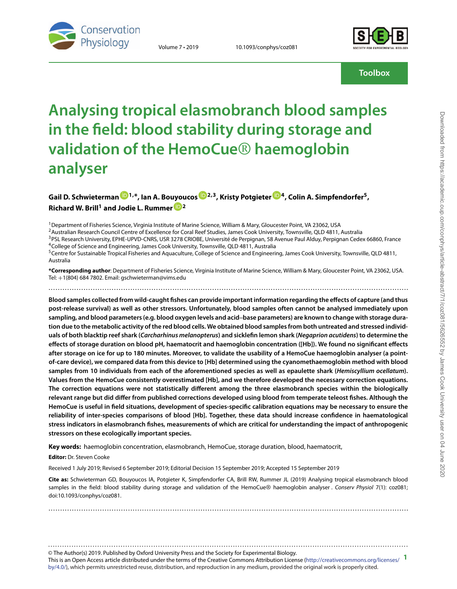

Volume 7 • 2019 10.1093/conphys/coz081



**Toolbox**

# **Analysing tropical elasmobranch blood samples in the field: blood stability during storage and validation of the HemoCue**® **haemoglobin analyser**

### **Gail D. Schwieterman [1](http://orcid.org/0000-0001-6356-0337),\*, Ian A. Bouyoucos [2](http://orcid.org/0000-0002-4267-1043),3, Kristy Potgieter [4](http://orcid.org/0000-0003-2765-9836), Colin A. Simpfendorfer5, Richard W. Brill<sup>1</sup> and Jodie L. Rummer [2](http://orcid.org/0000-0001-6067-5892)**

<sup>1</sup> Department of Fisheries Science, Virginia Institute of Marine Science, William & Mary, Gloucester Point, VA 23062, USA

<sup>2</sup> Australian Research Council Centre of Excellence for Coral Reef Studies, James Cook University, Townsville, QLD 4811, Australia

<sup>3</sup>PSL Research University, EPHE-UPVD-CNRS, USR 3278 CRIOBE, Université de Perpignan, 58 Avenue Paul Alduy, Perpignan Cedex 66860, France 4College of Science and Engineering, James Cook University, Townsville, QLD 4811, Australia

<sup>5</sup>Centre for Sustainable Tropical Fisheries and Aquaculture, College of Science and Engineering, James Cook University, Townsville, QLD 4811, Australia

**\*Corresponding author**: Department of Fisheries Science, Virginia Institute of Marine Science, William & Mary, Gloucester Point, VA 23062, USA. Tel: +1(804) 684 7802. Email: gschwieterman@vims.edu ..........................................................................................................................................................

**Blood samples collected from wild-caught fishes can provide important information regarding the effects of capture (and thus post-release survival) as well as other stressors. Unfortunately, blood samples often cannot be analysed immediately upon sampling, and blood parameters (e.g. blood oxygen levels and acid**–**base parameters) are known to change with storage duration due to the metabolic activity of the red blood cells. We obtained blood samples from both untreated and stressed individuals of both blacktip reef shark (***Carcharhinus melanopterus***) and sicklefin lemon shark (***Negaprion acutidens***) to determine the effects of storage duration on blood pH, haematocrit and haemoglobin concentration ([Hb]). We found no significant effects after storage on ice for up to 180 minutes. Moreover, to validate the usability of a HemoCue haemoglobin analyser (a pointof-care device), we compared data from this device to [Hb] determined using the cyanomethaemoglobin method with blood samples from 10 individuals from each of the aforementioned species as well as epaulette shark (***Hemiscyllium ocellatum***). Values from the HemoCue consistently overestimated [Hb], and we therefore developed the necessary correction equations. The correction equations were not statistically different among the three elasmobranch species within the biologically relevant range but did differ from published corrections developed using blood from temperate teleost fishes. Although the HemoCue is useful in field situations, development of species-specific calibration equations may be necessary to ensure the reliability of inter-species comparisons of blood [Hb]. Together, these data should increase confidence in haematological stress indicators in elasmobranch fishes, measurements of which are critical for understanding the impact of anthropogenic stressors on these ecologically important species.**

**Key words:** haemoglobin concentration, elasmobranch, HemoCue, storage duration, blood, haematocrit,

**Editor:** Dr. Steven Cooke

Received 1 July 2019; Revised 6 September 2019; Editorial Decision 15 September 2019; Accepted 15 September 2019

**Cite as:** Schwieterman GD, Bouyoucos IA, Potgieter K, Simpfendorfer CA, Brill RW, Rummer JL (2019) Analysing tropical elasmobranch blood samples in the field: blood stability during storage and validation of the HemoCue® haemoglobin analyser. Conserv Physiol 7(1): coz081; doi:10.1093/conphys/coz081.

..........................................................................................................................................................

© The Author(s) 2019. Published by Oxford University Press and the Society for Experimental Biology. This is an Open Access article distributed under the terms of the Creative Commons Attribution License [\(http://creativecommons.org/licenses/](http://creativecommons.org/licenses/by/4.0/) **1** [by/4.0/\)](http://creativecommons.org/licenses/by/4.0/), which permits unrestricted reuse, distribution, and reproduction in any medium, provided the original work is properly cited. ..........................................................................................................................................................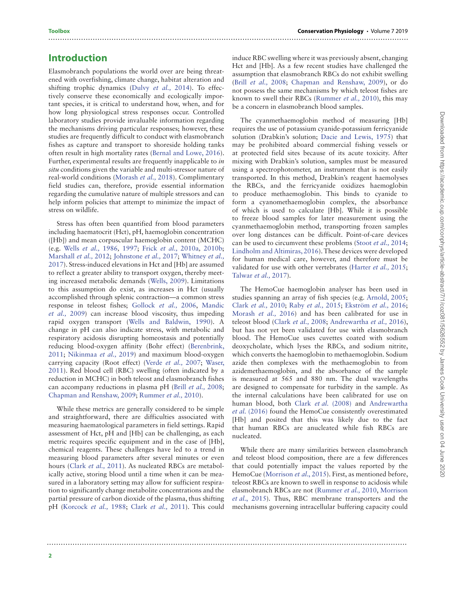#### **Introduction**

Elasmobranch populations the world over are being threatened with overfishing, climate change, habitat alteration and shifting trophic dynamics [\(Dulvy](#page-8-0) et al., 2014). To effectively conserve these economically and ecologically important species, it is critical to understand how, when, and for how long physiological stress responses occur. Controlled laboratory studies provide invaluable information regarding the mechanisms driving particular responses; however, these studies are frequently difficult to conduct with elasmobranch fishes as capture and transport to shoreside holding tanks often result in high mortality rates [\(Bernal and Lowe, 2016\)](#page-8-1). Further, experimental results are frequently inapplicable to in situ conditions given the variable and multi-stressor nature of real-world conditions [\(Morash](#page-9-0) et al., 2018). Complimentary field studies can, therefore, provide essential information regarding the cumulative nature of multiple stressors and can help inform policies that attempt to minimize the impact of stress on wildlife.

Stress has often been quantified from blood parameters including haematocrit (Hct), pH, haemoglobin concentration ([Hb]) and mean corpuscular haemoglobin content (MCHC) (e.g. Wells [et al.,](#page-9-1) 1986, [1997;](#page-9-2) Frick et al., [2010a](#page-8-2), [2010b;](#page-8-3) [Marshall](#page-8-4) et al., 2012; [Johnstone](#page-8-5) et al., 2017; Whitney et al., [2017\). Stress-induced elevations in Hct and \[Hb\] are assumed](#page-9-3) to reflect a greater ability to transport oxygen, thereby meeting increased metabolic demands [\(Wells, 2009\)](#page-9-4). Limitations to this assumption do exist, as increases in Hct (usually accomplished through splenic contraction—a common stress response in teleost fishes; [Gollock](#page-8-6) et al., 2006, Mandic et al., [2009\) can increase blood viscosity, thus impeding](#page-8-7) rapid oxygen transport [\(Wells and Baldwin, 1990\)](#page-9-5). A change in pH can also indicate stress, with metabolic and respiratory acidosis disrupting homeostasis and potentially [reducing blood-oxygen affinity \(Bohr effect\) \(Berenbrink,](#page-8-8) 2011; [Nikinmaa](#page-9-6) et al., 2019) and maximum blood-oxygen carrying capacity (Root effect) [\(Verde](#page-9-7) et al., 2007; Waser, [2011\). Red blood cell \(RBC\) swelling \(often indicated by a](#page-9-8) reduction in MCHC) in both teleost and elasmobranch fishes can accompany reductions in plasma pH (Brill [et al.,](#page-8-9) 2008; [Chapman and Renshaw, 2009;](#page-8-10) [Rummer](#page-9-9) et al., 2010).

While these metrics are generally considered to be simple and straightforward, there are difficulties associated with measuring haematological parameters in field settings. Rapid assessment of Hct, pH and [Hb] can be challenging, as each metric requires specific equipment and in the case of [Hb], chemical reagents. These challenges have led to a trend in measuring blood parameters after several minutes or even hours [\(Clark](#page-8-11) et al., 2011). As nucleated RBCs are metabolically active, storing blood until a time when it can be measured in a laboratory setting may allow for sufficient respiration to significantly change metabolite concentrations and the partial pressure of carbon dioxide of the plasma, thus shifting pH [\(Korcock](#page-8-12) [et al.,](#page-8-11) 1988; Clark et al., 2011). This could

induce RBC swelling where it was previously absent, changing Hct and [Hb]. As a few recent studies have challenged the assumption that elasmobranch RBCs do not exhibit swelling (Brill [et al.,](#page-8-9) 2008; [Chapman and Renshaw, 2009\)](#page-8-10), or do not possess the same mechanisms by which teleost fishes are known to swell their RBCs [\(Rummer](#page-9-9) et al., 2010), this may be a concern in elasmobranch blood samples.

The cyanmethaemoglobin method of measuring [Hb] requires the use of potassium cyanide-potassium ferricyanide solution (Drabkin's solution; [Dacie and Lewis, 1975\)](#page-8-13) that may be prohibited aboard commercial fishing vessels or at protected field sites because of its acute toxicity. After mixing with Drabkin's solution, samples must be measured using a spectrophotometer, an instrument that is not easily transported. In this method, Drabkin's reagent haemolyses the RBCs, and the ferricyanide oxidizes haemoglobin to produce methaemoglobin. This binds to cyanide to form a cyanomethaemoglobin complex, the absorbance of which is used to calculate [Hb]. While it is possible to freeze blood samples for later measurement using the cyanmethaemoglobin method, transporting frozen samples over long distances can be difficult. Point-of-care devices can be used to circumvent these problems [\(Stoot](#page-9-10) et al., 2014; [Lindholm and Altimiras, 2016\)](#page-8-14). These devices were developed for human medical care, however, and therefore must be validated for use with other vertebrates [\(Harter](#page-8-15) et al., 2015; [Talwar](#page-9-11) et al., 2017).

The HemoCue haemoglobin analyser has been used in studies spanning an array of fish species (e.g. [Arnold, 2005;](#page-8-16) Clark [et al.,](#page-8-17) 2010; Raby [et al.,](#page-9-12) 2015; [Ekström](#page-8-18) et al., 2016; [Morash](#page-8-19) et al., 2016) and has been calibrated for use in teleost blood [\(Clark](#page-8-20) et al., 2008; [Andrewartha](#page-8-21) et al., 2016), but has not yet been validated for use with elasmobranch blood. The HemoCue uses cuvettes coated with sodium deoxycholate, which lyses the RBCs, and sodium nitrite, which converts the haemoglobin to methaemoglobin. Sodium azide then complexes with the methaemoglobin to from azidemethaemoglobin, and the absorbance of the sample is measured at 565 and 880 nm. The dual wavelengths are designed to compensate for turbidity in the sample. As the internal calculations have been calibrated for use on human blood, both Clark et al. [\(2008\)](#page-8-20) and Andrewartha et al. (2016) [found the HemoCue consistently overestimated](#page-8-21) [Hb] and posited that this was likely due to the fact that human RBCs are anucleated while fish RBCs are nucleated.

While there are many similarities between elasmobranch and teleost blood composition, there are a few differences that could potentially impact the values reported by the HemoCue [\(Morrison](#page-9-13) et al., 2015). First, as mentioned before, teleost RBCs are known to swell in response to acidosis while elasmobranch RBCs are not [\(Rummer](#page-9-9) et al., 2010, Morrison et al.[, 2015\). Thus, RBC membrane transporters and the](#page-9-13) mechanisms governing intracellular buffering capacity could

..........................................................................................................................................................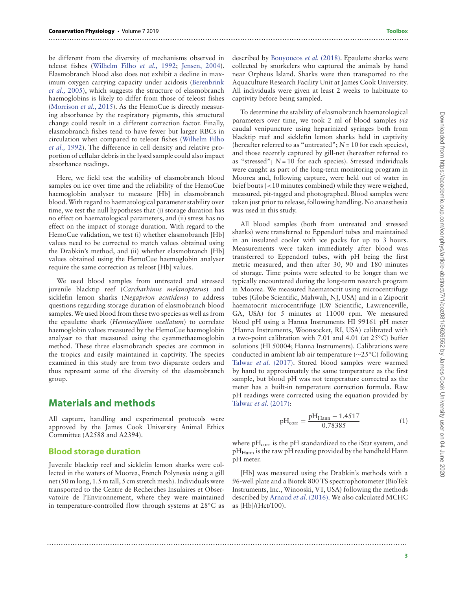be different from the diversity of mechanisms observed in teleost fishes [\(Wilhelm Filho](#page-9-14) et al., 1992; [Jensen, 2004\)](#page-8-22). Elasmobranch blood also does not exhibit a decline in max[imum oxygen carrying capacity under acidosis \(Berenbrink](#page-8-23) et al., 2005), which suggests the structure of elasmobranch haemoglobins is likely to differ from those of teleost fishes [\(Morrison](#page-9-13) et al., 2015). As the HemoCue is directly measuring absorbance by the respiratory pigments, this structural change could result in a different correction factor. Finally, elasmobranch fishes tend to have fewer but larger RBCs in [circulation when compared to teleost fishes \(Wilhelm Filho](#page-9-14) et al., 1992). The difference in cell density and relative proportion of cellular debris in the lysed sample could also impact absorbance readings.

Here, we field test the stability of elasmobranch blood samples on ice over time and the reliability of the HemoCue haemoglobin analyser to measure [Hb] in elasmobranch blood.With regard to haematological parameter stability over time, we test the null hypotheses that (i) storage duration has no effect on haematological parameters, and (ii) stress has no effect on the impact of storage duration. With regard to the HemoCue validation, we test (i) whether elasmobranch [Hb] values need to be corrected to match values obtained using the Drabkin's method, and (ii) whether elasmobranch [Hb] values obtained using the HemoCue haemoglobin analyser require the same correction as teleost [Hb] values.

We used blood samples from untreated and stressed juvenile blacktip reef (Carcharhinus melanopterus) and sicklefin lemon sharks (Negaprion acutidens) to address questions regarding storage duration of elasmobranch blood samples.We used blood from these two species as well as from the epaulette shark (Hemiscyllium ocellatum) to correlate haemoglobin values measured by the HemoCue haemoglobin analyser to that measured using the cyanmethaemoglobin method. These three elasmobranch species are common in the tropics and easily maintained in captivity. The species examined in this study are from two disparate orders and thus represent some of the diversity of the elasmobranch group.

#### **Materials and methods**

All capture, handling and experimental protocols were approved by the James Cook University Animal Ethics Committee (A2588 and A2394).

#### **Blood storage duration**

Juvenile blacktip reef and sicklefin lemon sharks were collected in the waters of Moorea, French Polynesia using a gill net (50 m long, 1.5 m tall, 5 cm stretch mesh). Individuals were transported to the Centre de Recherches Insulaires et Observatoire de l'Environnement, where they were maintained in temperature-controlled flow through systems at 28◦C as described by [Bouyoucos](#page-8-24) et al. (2018). Epaulette sharks were collected by snorkelers who captured the animals by hand near Orpheus Island. Sharks were then transported to the Aquaculture Research Facility Unit at James Cook University. All individuals were given at least 2 weeks to habituate to captivity before being sampled.

..........................................................................................................................................................

..........................................................................................................................................................

To determine the stability of elasmobranch haematological parameters over time, we took 2 ml of blood samples via caudal venipuncture using heparinized syringes both from blacktip reef and sicklefin lemon sharks held in captivity (hereafter referred to as "untreated";  $N = 10$  for each species), and those recently captured by gill-net (hereafter referred to as "stressed";  $N = 10$  for each species). Stressed individuals were caught as part of the long-term monitoring program in Moorea and, following capture, were held out of water in brief bouts (*<*10 minutes combined) while they were weighed, measured, pit-tagged and photographed. Blood samples were taken just prior to release, following handling. No anaesthesia was used in this study.

All blood samples (both from untreated and stressed sharks) were transferred to Eppendorf tubes and maintained in an insulated cooler with ice packs for up to 3 hours. Measurements were taken immediately after blood was transferred to Eppendorf tubes, with pH being the first metric measured, and then after 30, 90 and 180 minutes of storage. Time points were selected to be longer than we typically encountered during the long-term research program in Moorea. We measured haematocrit using microcentrifuge tubes (Globe Scientific, Mahwah, NJ, USA) and in a Zipocrit haematocrit microcentrifuge (LW Scientific, Lawrenceville, GA, USA) for 5 minutes at 11000 rpm. We measured blood pH using a Hanna Instruments HI 99161 pH meter (Hanna Instruments, Woonsocket, RI, USA) calibrated with a two-point calibration with 7.01 and 4.01 (at 25◦C) buffer solutions (HI 50004; Hanna Instruments). Calibrations were conducted in ambient lab air temperature (∼25◦C) following [Talwar](#page-9-11) et al. (2017). Stored blood samples were warmed by hand to approximately the same temperature as the first sample, but blood pH was not temperature corrected as the meter has a built-in temperature correction formula. Raw pH readings were corrected using the equation provided by [Talwar](#page-9-11) et al. (2017):

$$
pH_{corr} = \frac{pH_{Hamn} - 1.4517}{0.78385}
$$
 (1)

where  $pH_{corr}$  is the  $pH$  standardized to the iStat system, and  $pH_{\text{Hann}}$  is the raw  $pH$  reading provided by the handheld Hann pH meter.

[Hb] was measured using the Drabkin's methods with a 96-well plate and a Biotek 800 TS spectrophotometer (BioTek Instruments, Inc., Winooski, VT, USA) following the methods described by [Arnaud](#page-8-25) et al. (2016). We also calculated MCHC as [Hb]/(Hct/100).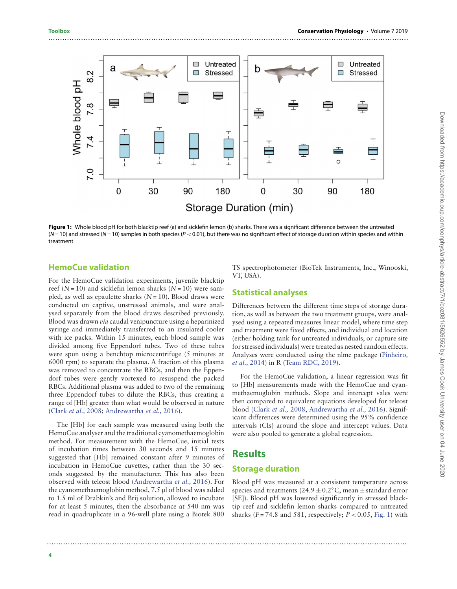

<span id="page-3-0"></span>**Figure 1:** Whole blood pH for both blacktip reef (a) and sicklefin lemon (b) sharks. There was a significant difference between the untreated (N = 10) and stressed (N = 10) samples in both species (P *<* 0.01), but there was no significant effect of storage duration within species and within treatment

#### **HemoCue validation**

For the HemoCue validation experiments, juvenile blacktip reef  $(N = 10)$  and sicklefin lemon sharks  $(N = 10)$  were sampled, as well as epaulette sharks  $(N = 10)$ . Blood draws were conducted on captive, unstressed animals, and were analysed separately from the blood draws described previously. Blood was drawn via caudal venipuncture using a heparinized syringe and immediately transferred to an insulated cooler with ice packs. Within 15 minutes, each blood sample was divided among five Eppendorf tubes. Two of these tubes were spun using a benchtop microcentrifuge (5 minutes at 6000 rpm) to separate the plasma. A fraction of this plasma was removed to concentrate the RBCs, and then the Eppendorf tubes were gently vortexed to resuspend the packed RBCs. Additional plasma was added to two of the remaining three Eppendorf tubes to dilute the RBCs, thus creating a range of [Hb] greater than what would be observed in nature [\(Clark](#page-8-20) et al., 2008; [Andrewartha](#page-8-21) et al., 2016).

The [Hb] for each sample was measured using both the HemoCue analyser and the traditional cyanomethaemoglobin method. For measurement with the HemoCue, initial tests of incubation times between 30 seconds and 15 minutes suggested that [Hb] remained constant after 9 minutes of incubation in HemoCue cuvettes, rather than the 30 seconds suggested by the manufacturer. This has also been observed with teleost blood [\(Andrewartha](#page-8-21) et al., 2016). For the cyanomethaemoglobin method, 7.5 μl of blood was added to 1.5 ml of Drabkin's and Brij solution, allowed to incubate for at least 5 minutes, then the absorbance at 540 nm was read in quadruplicate in a 96-well plate using a Biotek 800

TS spectrophotometer (BioTek Instruments, Inc., Winooski, VT, USA).

#### **Statistical analyses**

Differences between the different time steps of storage duration, as well as between the two treatment groups, were analysed using a repeated measures linear model, where time step and treatment were fixed effects, and individual and location (either holding tank for untreated individuals, or capture site for stressed individuals) were treated as nested random effects. [Analyses were conducted using the nlme package \(Pinheiro](#page-9-15), et al., 2014) in R [\(Team RDC, 2019\)](#page-9-16).

For the HemoCue validation, a linear regression was fit to [Hb] measurements made with the HemoCue and cyanmethaemoglobin methods. Slope and intercept vales were then compared to equivalent equations developed for teleost blood [\(Clark](#page-8-20) et al., 2008, [Andrewartha](#page-8-21) et al., 2016). Significant differences were determined using the 95% confidence intervals (CIs) around the slope and intercept values. Data were also pooled to generate a global regression.

#### **Results**

..........................................................................................................................................................

#### **Storage duration**

Blood pH was measured at a consistent temperature across species and treatments ( $24.9 \pm 0.2$ °C, mean  $\pm$  standard error [SE]). Blood pH was lowered significantly in stressed blacktip reef and sicklefin lemon sharks compared to untreated sharks  $(F = 74.8$  and 581, respectively;  $P < 0.05$ , [Fig. 1\)](#page-3-0) with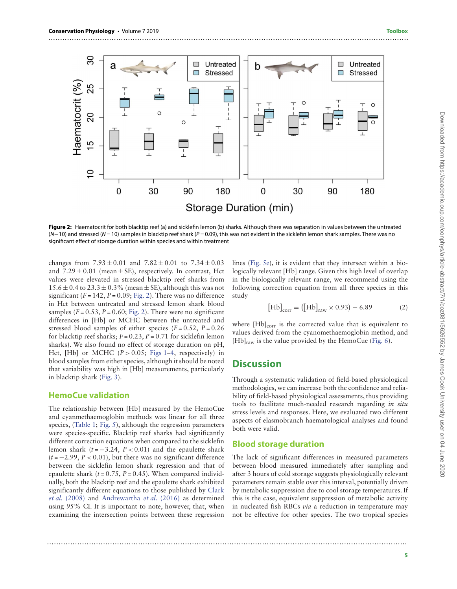

<span id="page-4-0"></span>**Figure 2:** Haematocrit for both blacktip reef (a) and sicklefin lemon (b) sharks. Although there was separation in values between the untreated (N-10) and stressed (N = 10) samples in blacktip reef shark (P = 0.09), this was not evident in the sicklefin lemon shark samples. There was no significant effect of storage duration within species and within treatment

changes from  $7.93 \pm 0.01$  and  $7.82 \pm 0.01$  to  $7.34 \pm 0.03$ and  $7.29 \pm 0.01$  (mean  $\pm$  SE), respectively. In contrast, Hct values were elevated in stressed blacktip reef sharks from  $15.6 \pm 0.4$  to  $23.3 \pm 0.3$ % (mean  $\pm$  SE), although this was not significant ( $F = 142$ ,  $P = 0.09$ ; [Fig. 2\)](#page-4-0). There was no difference in Hct between untreated and stressed lemon shark blood samples ( $F = 0.53$ ,  $P = 0.60$ ; [Fig. 2\)](#page-4-0). There were no significant differences in [Hb] or MCHC between the untreated and stressed blood samples of either species  $(F = 0.52, P = 0.26)$ for blacktip reef sharks;  $F = 0.23$ ,  $P = 0.71$  for sicklefin lemon sharks). We also found no effect of storage duration on pH, Hct,  $[Hb]$  or MCHC  $(P > 0.05$ ; [Figs 1–](#page-3-0)[4,](#page-5-0) respectively) in blood samples from either species, although it should be noted that variability was high in [Hb] measurements, particularly in blacktip shark [\(Fig. 3\)](#page-5-1).

#### **HemoCue validation**

The relationship between [Hb] measured by the HemoCue and cyanmethaemoglobin methods was linear for all three species, [\(Table 1;](#page-6-0) [Fig. 5\)](#page-6-1), although the regression parameters were species-specific. Blacktip reef sharks had significantly different correction equations when compared to the sicklefin lemon shark  $(t = -3.24, P < 0.01)$  and the epaulette shark  $(t = -2.99, P < 0.01)$ , but there was no significant difference between the sicklefin lemon shark regression and that of epaulette shark  $(t = 0.75, P = 0.45)$ . When compared individually, both the blacktip reef and the epaulette shark exhibited [significantly different equations to those published by](#page-8-20) Clark et al. (2008) and [Andrewartha](#page-8-21) et al. (2016) as determined using 95% CI. It is important to note, however, that, when examining the intersection points between these regression

lines [\(Fig. 5e\)](#page-6-1), it is evident that they intersect within a biologically relevant [Hb] range. Given this high level of overlap in the biologically relevant range, we recommend using the following correction equation from all three species in this study

<span id="page-4-1"></span>
$$
[\text{Hb}]_{\text{corr}} = ([\text{Hb}]_{\text{raw}} \times 0.93) - 6.89 \tag{2}
$$

where [Hb]<sub>corr</sub> is the corrected value that is equivalent to values derived from the cyanomethaemoglobin method, and  $[Hb]_{raw}$  is the value provided by the HemoCue [\(Fig. 6\)](#page-7-0).

#### **Discussion**

Through a systematic validation of field-based physiological methodologies, we can increase both the confidence and reliability of field-based physiological assessments, thus providing tools to facilitate much-needed research regarding in situ stress levels and responses. Here, we evaluated two different aspects of elasmobranch haematological analyses and found both were valid.

#### **Blood storage duration**

The lack of significant differences in measured parameters between blood measured immediately after sampling and after 3 hours of cold storage suggests physiologically relevant parameters remain stable over this interval, potentially driven by metabolic suppression due to cool storage temperatures. If this is the case, equivalent suppression of metabolic activity in nucleated fish RBCs via a reduction in temperature may not be effective for other species. The two tropical species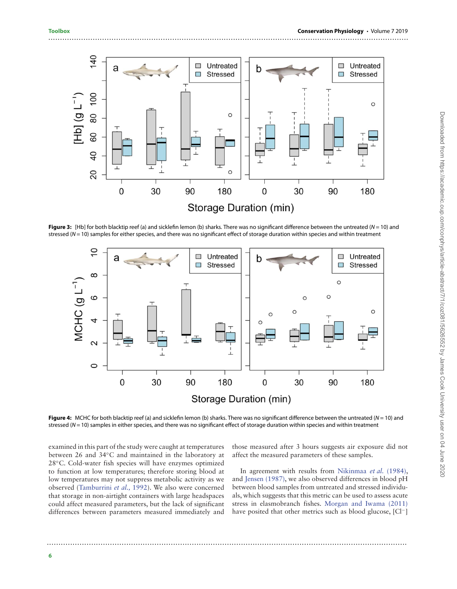

<span id="page-5-1"></span>**Figure 3:** [Hb] for both blacktip reef (a) and sicklefin lemon (b) sharks. There was no significant difference between the untreated ( $N = 10$ ) and stressed ( $N = 10$ ) samples for either species, and there was no significant effect of storage duration within species and within treatment



<span id="page-5-0"></span>**Figure 4:** MCHC for both blacktip reef (a) and sicklefin lemon (b) sharks. There was no significant difference between the untreated (N = 10) and stressed ( $N = 10$ ) samples in either species, and there was no significant effect of storage duration within species and within treatment

examined in this part of the study were caught at temperatures between 26 and 34◦C and maintained in the laboratory at 28◦C. Cold-water fish species will have enzymes optimized to function at low temperatures; therefore storing blood at low temperatures may not suppress metabolic activity as we observed [\(Tamburrini](#page-9-17) et al., 1992). We also were concerned that storage in non-airtight containers with large headspaces could affect measured parameters, but the lack of significant differences between parameters measured immediately and

those measured after 3 hours suggests air exposure did not affect the measured parameters of these samples.

In agreement with results from [Nikinmaa](#page-9-18) et al. (1984), and [Jensen \(1987\),](#page-8-26) we also observed differences in blood pH between blood samples from untreated and stressed individuals, which suggests that this metric can be used to assess acute stress in elasmobranch fishes. [Morgan and Iwama \(2011\)](#page-9-19) have posited that other metrics such as blood glucose, [Cl−]

..........................................................................................................................................................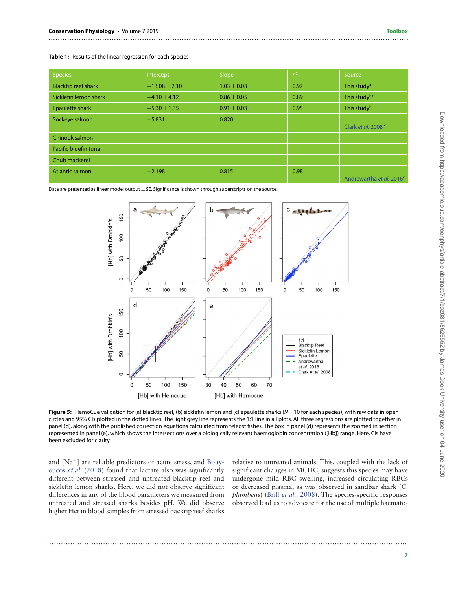<span id="page-6-0"></span>

|  |  |  |  | Table 1: Results of the linear regression for each species |  |  |
|--|--|--|--|------------------------------------------------------------|--|--|
|--|--|--|--|------------------------------------------------------------|--|--|

| <b>Species</b>             | Intercept         | Slope           | $r^2$ | Source                               |
|----------------------------|-------------------|-----------------|-------|--------------------------------------|
| <b>Blacktip reef shark</b> | $-13.08 \pm 2.10$ | $1.03 \pm 0.03$ | 0.97  | This study <sup>a</sup>              |
| Sicklefin lemon shark      | $-4.10 \pm 4.12$  | $0.86 \pm 0.05$ | 0.89  | This studyb,c                        |
| Epaulette shark            | $-5.30 \pm 1.35$  | $0.91 \pm 0.03$ | 0.95  | This study <sup>b</sup>              |
| Sockeye salmon             | $-5.831$          | 0.820           |       | Clark et al. 2008 <sup>c</sup>       |
| Chinook salmon             |                   |                 |       |                                      |
| Pacific bluefin tuna       |                   |                 |       |                                      |
| Chub mackerel              |                   |                 |       |                                      |
| <b>Atlantic salmon</b>     | $-2.198$          | 0.815           | 0.98  | Andrewartha et al. 2016 <sup>c</sup> |

Data are presented as linear model output  $\pm$  SE. Significance is shown through superscripts on the source.



<span id="page-6-1"></span>**Figure 5:** HemoCue validation for (a) blacktip reef, (b) sicklefin lemon and (c) epaulette sharks ( $N = 10$  for each species), with raw data in open circles and 95% CIs plotted in the dotted lines. The light grey line represents the 1:1 line in all plots. All three regressions are plotted together in panel (d), along with the published correction equations calculated from teleost fishes. The box in panel (d) represents the zoomed in section represented in panel (e), which shows the intersections over a biologically relevant haemoglobin concentration ([Hb]) range. Here, CIs have been excluded for clarity

..........................................................................................................................................................

and [Na+[\] are reliable predictors of acute stress, and](#page-8-24) Bouyoucos et al. (2018) found that lactate also was significantly different between stressed and untreated blacktip reef and sicklefin lemon sharks. Here, we did not observe significant differences in any of the blood parameters we measured from untreated and stressed sharks besides pH. We did observe higher Hct in blood samples from stressed backtip reef sharks

relative to untreated animals. This, coupled with the lack of significant changes in MCHC, suggests this species may have undergone mild RBC swelling, increased circulating RBCs or decreased plasma, as was observed in sandbar shark (C. plumbeus) (Brill [et al.,](#page-8-9) 2008). The species-specific responses observed lead us to advocate for the use of multiple haemato-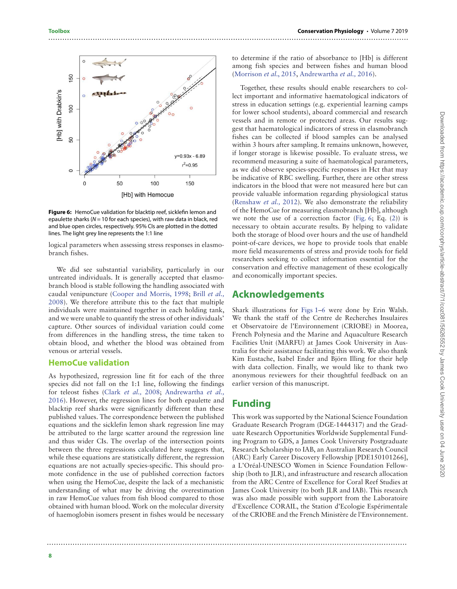

<span id="page-7-0"></span>**Figure 6:** HemoCue validation for blacktip reef, sicklefin lemon and epaulette sharks ( $N = 10$  for each species), with raw data in black, red and blue open circles, respectively. 95% CIs are plotted in the dotted lines. The light grey line represents the 1:1 line

logical parameters when assessing stress responses in elasmobranch fishes.

We did see substantial variability, particularly in our untreated individuals. It is generally accepted that elasmobranch blood is stable following the handling associated with caudal venipuncture [\(Cooper and Morris, 1998;](#page-8-27) Brill et al., [2008\). We therefore attribute this to the fact that multiple](#page-8-9) individuals were maintained together in each holding tank, and we were unable to quantify the stress of other individuals' capture. Other sources of individual variation could come from differences in the handling stress, the time taken to obtain blood, and whether the blood was obtained from venous or arterial vessels.

#### **HemoCue validation**

As hypothesized, regression line fit for each of the three species did not fall on the 1:1 line, following the findings for teleost fishes (Clark [et al.,](#page-8-20) 2008; Andrewartha et al., [2016\). However, the regression lines for both epaulette and](#page-8-21) blacktip reef sharks were significantly different than these published values. The correspondence between the published equations and the sicklefin lemon shark regression line may be attributed to the large scatter around the regression line and thus wider CIs. The overlap of the intersection points between the three regressions calculated here suggests that, while these equations are statistically different, the regression equations are not actually species-specific. This should promote confidence in the use of published correction factors when using the HemoCue, despite the lack of a mechanistic understanding of what may be driving the overestimation in raw HemoCue values from fish blood compared to those obtained with human blood. Work on the molecular diversity of haemoglobin isomers present in fishes would be necessary

to determine if the ratio of absorbance to [Hb] is different among fish species and between fishes and human blood [\(Morrison](#page-9-13) et al., 2015, [Andrewartha](#page-8-21) et al., 2016).

Together, these results should enable researchers to collect important and informative haematological indicators of stress in education settings (e.g. experiential learning camps for lower school students), aboard commercial and research vessels and in remote or protected areas. Our results suggest that haematological indicators of stress in elasmobranch fishes can be collected if blood samples can be analysed within 3 hours after sampling. It remains unknown, however, if longer storage is likewise possible. To evaluate stress, we recommend measuring a suite of haematological parameters, as we did observe species-specific responses in Hct that may be indicative of RBC swelling. Further, there are other stress indicators in the blood that were not measured here but can provide valuable information regarding physiological status [\(Renshaw](#page-9-20) et al., 2012). We also demonstrate the reliability of the HemoCue for measuring elasmobranch [Hb], although we note the use of a correction factor [\(Fig. 6;](#page-7-0) Eq. [\(2\)](#page-4-1)) is necessary to obtain accurate results. By helping to validate both the storage of blood over hours and the use of handheld point-of-care devices, we hope to provide tools that enable more field measurements of stress and provide tools for field researchers seeking to collect information essential for the conservation and effective management of these ecologically and economically important species.

#### **Acknowledgements**

Shark illustrations for [Figs 1](#page-3-0)[–6](#page-7-0) were done by Erin Walsh. We thank the staff of the Centre de Recherches Insulaires et Observatoire de l'Environnement (CRIOBE) in Moorea, French Polynesia and the Marine and Aquaculture Research Facilities Unit (MARFU) at James Cook University in Australia for their assistance facilitating this work. We also thank Kim Eustache, Isabel Ender and Björn Illing for their help with data collection. Finally, we would like to thank two anonymous reviewers for their thoughtful feedback on an earlier version of this manuscript.

#### **Funding**

..........................................................................................................................................................

This work was supported by the National Science Foundation Graduate Research Program (DGE-1444317) and the Graduate Research Opportunities Worldwide Supplemental Funding Program to GDS, a James Cook University Postgraduate Research Scholarship to IAB, an Australian Research Council (ARC) Early Career Discovery Fellowship [PDE150101266], a L'Oréal-UNESCO Women in Science Foundation Fellowship (both to JLR), and infrastructure and research allocation from the ARC Centre of Excellence for Coral Reef Studies at James Cook University (to both JLR and IAB). This research was also made possible with support from the Laboratoire d'Excellence CORAIL, the Station d'Ecologie Espérimentale of the CRIOBE and the French Ministère de l'Environnement.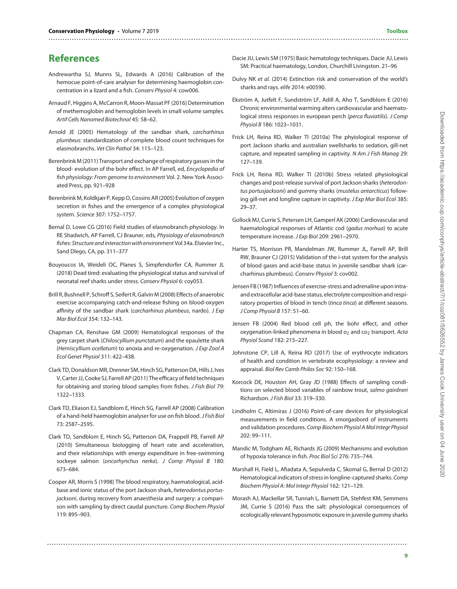## **References**

- <span id="page-8-21"></span>Andrewartha SJ, Munns SL, Edwards A (2016) Calibration of the hemocue point-of-care analyser for determining haemoglobin concentration in a lizard and a fish. Conserv Physiol 4: cow006.
- <span id="page-8-25"></span>Arnaud F, Higgins A, McCarron R, Moon-Massat PF (2016) Determination of methemoglobin and hemoglobin levels in small volume samples. Artif Cells Nanomed Biotechnol 45: 58–62.
- <span id="page-8-16"></span>Arnold JE (2005) Hematology of the sandbar shark, carcharhinus plumbeus: standardization of complete blood count techniques for elasmobranchs. Vet Clin Pathol 34: 115–123.
- <span id="page-8-8"></span>Berenbrink M (2011) Transport and exchange of respiratory gasses in the blood- evolution of the bohr effect. In AP Farrell, ed, Encyclopedia of fish physiology: From genome to environment Vol. 2. New York Associated Press, pp. 921–928
- <span id="page-8-23"></span>Berenbrink M, Koldkjær P, Kepp O, Cossins AR (2005) Evolution of oxygen secretion in fishes and the emergence of a complex physiological system. Science 307: 1752–1757.
- <span id="page-8-1"></span>Bernal D, Lowe CG (2016) Field studies of elasmobranch physiology. In RE Shadwich, AP Farrell, CJ Brauner, eds, Physiology of elasmobranch fishes: Structure and interaction with environment Vol 34a. Elsevier Inc., Sand DIego, CA, pp. 311–377
- <span id="page-8-24"></span>Bouyoucos IA, Weideli OC, Planes S, Simpfendorfer CA, Rummer JL (2018) Dead tired: evaluating the physiological status and survival of neonatal reef sharks under stress. Conserv Physiol 6: coy053.
- <span id="page-8-9"></span>Brill R, Bushnell P, Schroff S, Seifert R, Galvin M (2008) Effects of anaerobic exercise accompanying catch-and-release fishing on blood-oxygen affinity of the sandbar shark (carcharhinus plumbeus, nardo). J Exp Mar Biol Ecol 354: 132–143.
- <span id="page-8-10"></span>Chapman CA, Renshaw GM (2009) Hematological responses of the grey carpet shark (Chiloscyllium punctatum) and the epaulette shark (Hemiscyllium ocellatum) to anoxia and re-oxygenation. J Exp Zool A Ecol Genet Physiol 311: 422–438.
- <span id="page-8-11"></span>Clark TD, Donaldson MR, Drenner SM, Hinch SG, Patterson DA, Hills J, Ives V, Carter JJ, Cooke SJ, Farrell AP (2011) The efficacy of field techniques for obtaining and storing blood samples from fishes. J Fish Biol 79: 1322–1333.
- <span id="page-8-20"></span>Clark TD, Eliason EJ, Sandblom E, Hinch SG, Farrell AP (2008) Calibration of a hand-held haemoglobin analyser for use on fish blood.J Fish Biol 73: 2587–2595.
- <span id="page-8-17"></span>Clark TD, Sandblom E, Hinch SG, Patterson DA, Frappell PB, Farrell AP (2010) Simultaneous biologging of heart rate and acceleration, and their relationships with energy expenditure in free-swimming sockeye salmon (oncorhynchus nerka). J Comp Physiol B 180: 673–684.
- <span id="page-8-27"></span>Cooper AR, Morris S (1998) The blood respiratory, haematological, acidbase and ionic status of the port Jackson shark, heterodontus portusjacksoni, during recovery from anaesthesia and surgery: a comparison with sampling by direct caudal puncture. Comp Biochem Physiol 119: 895–903.

..........................................................................................................................................................

<span id="page-8-13"></span>Dacie JU, Lewis SM (1975) Basic hematology techniques. Dacie JU, Lewis SM: Practical haematology, London, Churchill Livingston. 21–96

..........................................................................................................................................................

- <span id="page-8-0"></span>Dulvy NK et al. (2014) Extinction risk and conservation of the world's sharks and rays. elife 2014: e00590.
- <span id="page-8-18"></span>Ekström A, Jutfelt F, Sundström LF, Adill A, Aho T, Sandblom E (2016) Chronic environmental warming alters cardiovascular and haematological stress responses in european perch (perca fluviatilis). J Comp Physiol B 186: 1023–1031.
- <span id="page-8-2"></span>Frick LH, Reina RD, Walker TI (2010a) The phyiological response of port Jackson sharks and australian swellsharks to sedation, gill-net capture, and repeated sampling in captivity. N Am J Fish Manag 29: 127–139.
- <span id="page-8-3"></span>Frick LH, Reina RD, Walker TI (2010b) Stress related physiological changes and post-release survival of port Jackson sharks (heterodontus portusjacksoni) and gummy sharks (mustelus antarcticus) following gill-net and longline capture in captivity. J Exp Mar Biol Ecol 385: 29–37.
- <span id="page-8-6"></span>Gollock MJ, Currie S, Petersen LH, Gamperl AK (2006) Cardiovascular and haematological responses of Atlantic cod (gadus morhua) to acute temperature increase. J Exp Biol 209: 2961–2970.
- <span id="page-8-15"></span>Harter TS, Morrison PR, Mandelman JW, Rummer JL, Farrell AP, Brill RW, Brauner CJ (2015) Validation of the i-stat system for the analysis of blood gases and acid-base status in juvenile sandbar shark (carcharhinus plumbeus). Conserv Physiol 3: cov002.
- <span id="page-8-26"></span>Jensen FB (1987) Influences of exercise-stress and adrenaline upon intraand extracellular acid-base status, electrolyte composition and respiratory properties of blood in tench (tinca tinca) at different seasons. J Comp Physiol B 157: 51–60.
- <span id="page-8-22"></span>Jensen FB (2004) Red blood cell ph, the bohr effect, and other oxygenation-linked phenomena in blood  $o_2$  and  $co_2$  transport. Acta Physiol Scand 182: 215–227.
- <span id="page-8-5"></span>Johnstone CP, Lill A, Reina RD (2017) Use of erythrocyte indicators of health and condition in vertebrate ecophysiology: a review and appraisal. Biol Rev Camb Philos Soc 92: 150–168.
- <span id="page-8-12"></span>Korcock DE, Houston AH, Gray JD (1988) Effects of sampling conditions on selected blood variables of rainbow trout, salmo gairdneri Richardson. J Fish Biol 33: 319–330.
- <span id="page-8-14"></span>Lindholm C, Altimiras J (2016) Point-of-care devices for physiological measurements in field conditions. A smorgasbord of instruments and validation procedures. Comp Biochem Physiol A Mol Integr Physiol 202: 99–111.
- <span id="page-8-7"></span>Mandic M, Todgham AE, Richards JG (2009) Mechanisms and evolution of hypoxia tolerance in fish. Proc Biol Sci 276: 735–744.
- <span id="page-8-4"></span>Marshall H, Field L, Afiadata A, Sepulveda C, Skomal G, Bernal D (2012) Hematological indicators of stress in longline-captured sharks. Comp Biochem Physiol A: Mol Integr Physiol 162: 121–129.
- <span id="page-8-19"></span>Morash AJ, Mackellar SR, Tunnah L, Barnett DA, Stehfest KM, Semmens JM, Currie S (2016) Pass the salt: physiological consequences of ecologically relevant hyposmotic exposure in juvenile gummy sharks